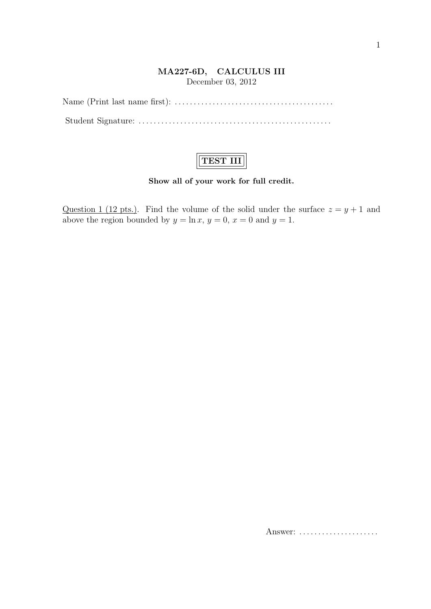## **MA227-6D, CALCULUS III** December 03, 2012

Name (Print last name first): *. . . . . . . . . . . . . . . . . . . . . . . . . . . . . . . . . . . . . . . . . .* Student Signature: *. . . . . . . . . . . . . . . . . . . . . . . . . . . . . . . . . . . . . . . . . . . . . . . . . . .*

## **TEST III**

## **Show all of your work for full credit.**

Question 1 (12 pts.). Find the volume of the solid under the surface  $z = y + 1$  and above the region bounded by  $y = \ln x$ ,  $y = 0$ ,  $x = 0$  and  $y = 1$ .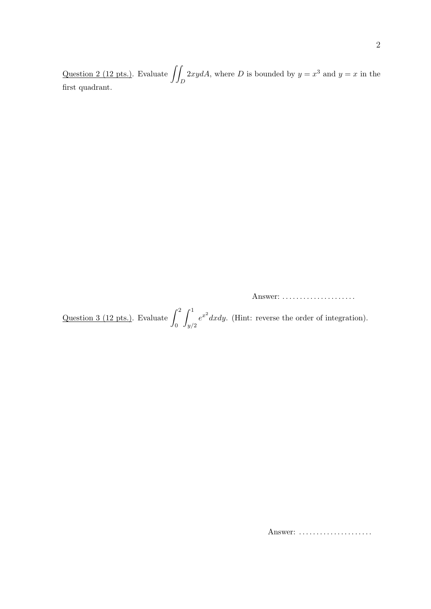Question 2 (12 pts.). Evaluate ∫∫ *D* 2*xydA*, where *D* is bounded by  $y = x^3$  and  $y = x$  in the first quadrant.

Answer: *. . . . . . . . . . . . . . . . . . . . .*

Question 3 (12 pts.). Evaluate  $\int_0^2$  $\mathbf{0}$  $\int_0^1$ *y/*2  $e^{x^2} dx dy$ . (Hint: reverse the order of integration).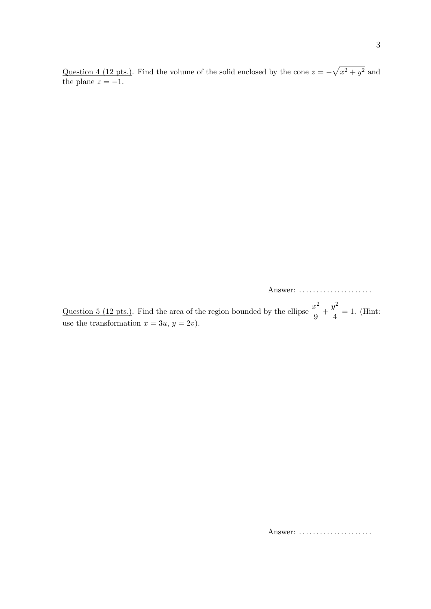Question 4 (12 pts.). Find the volume of the solid enclosed by the cone  $z = -\sqrt{x^2 + y^2}$  and the plane  $z = -1$ .

Answer: *. . . . . . . . . . . . . . . . . . . . .*

Question 5 (12 pts.). Find the area of the region bounded by the ellipse  $\frac{x^2}{6}$  $\frac{x^2}{9} + \frac{y^2}{4}$  $\frac{9}{4}$  = 1. (Hint: use the transformation  $x = 3u, y = 2v$ .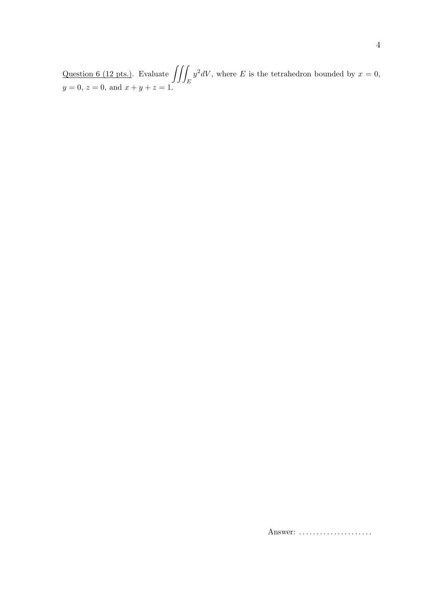Question 6 (12 pts.). Evaluate  $\iiint_E y^2 dV$ , where E is the tetrahedron bounded by  $x = 0$ ,  $y = 0$ ,  $z = 0$ , and  $x + y + z = 1$ .

Answer: .....................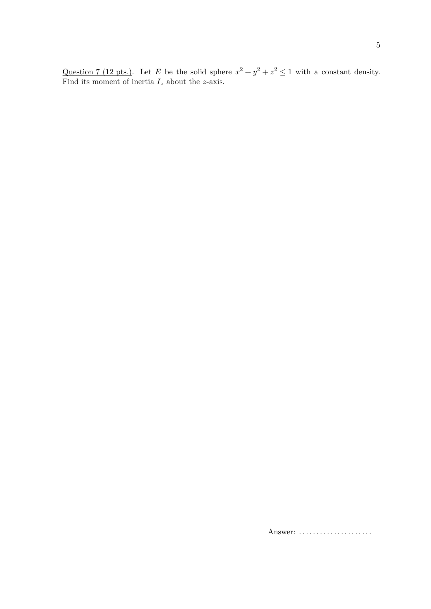$\bf 5$ 

Question 7 (12 pts.). Let E be the solid sphere  $x^2 + y^2 + z^2 \le 1$  with a constant density.<br>Find its moment of inertia  $I_z$  about the z-axis.

Answer: ......................